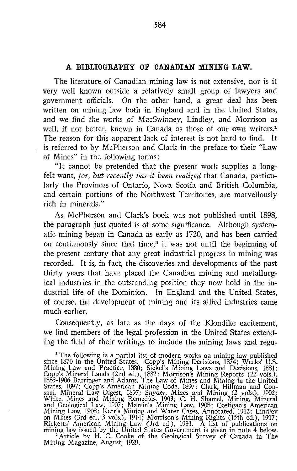## A BIBLIOGRAPHY OF CANADIAN MINING LAW.

The literature of Canadian mining law is not extensive, nor is it very well known outside a relatively small group of lawyers and government officials. On the other hand, a great deal has been written on mining law both in England and in the United States, and we find the works of MacSwinney, Lindley, and Morrison as well, if not better, known in Canada as those of our own writers.<sup>1</sup> The reason for this apparent lack of interest is not hard to find. It is referred to by McPherson and Clark in the preface to their "Law of Mines" in the following terms :

"It cannot be pretended that the present work supplies a longfelt want, for, but recently has it been realized that Canada, particularly the Provinces of Ontario, Nova Scotia and British Columbia, and certain portions of the Northwest Territories, are marvellously rich in minerals."

As McPherson and Clark's book was not published until 1898, the paragraph just quoted is of some significance. Although systematic mining began in Canada as early as 1720, and has been carried on continuously since that time.<sup>2</sup> it was not until the beginning of the present century that any great industrial progress in mining was recorded. It is, in fact, the discoveries and developments of the past thirty years that have placed the Canadian mining and metallurgical industries in the outstanding position they now hold in the industrial life of the Dominion. In England and the United States, of course, the development of mining and its allied industries came much earlier.

Consequently, as late as the days of the Klondike excitement, we find members of the legal profession in the United States extending the field of their writings to include the mining laws and regu-

<sup>1</sup> The following is a partial list of modern works on mining law published<br>since 1870 in the United States. Copp's Mining Decisions, 1874; Weeks' U.S.<br>Mining Law and Practice, 1880; Sickel's Mining Laws and Decisions, 188 1883-1906 Barringer and Adams, The Law of Mines and Mining in the United States, 1897 ; Copp's American Mining Code, 1897 ; Clark, Hillman and Consaul, Mineral Law Digest, 1897; Snyder, Mines and Mining (2 vols.), 1902;<br>White, Mines and Mining Remedies, 1903; C. H. Shamel, Mining, Mineral<br>and Geological Law, 1907; Martin's Mining Law, 1908; Costigan's American Mining Law, 1908; Kerr's Mining and Water Cases, Annotated, 1912; Lindley<br>on Mines (3rd ed., 3 vols.), 1914; Morrison's Mining Rights (15th ed.), 1917;<br>Ricketts' American Mining Law (3rd ed.), 1931. A list of publications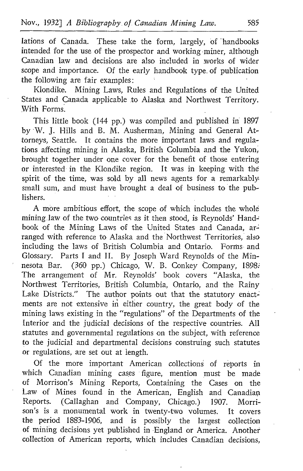lations of Canada. These take the form, largely, of 'handbooks intended for the use of the prospector and working miner, although Canadian law and decisions are also included in works of wider scope and importance. Of the early handbook type. of publication the following are fair examples:<br>Klondike. Mining Laws, Ri

Mining Laws, Rules and Regulations of the United States and Canada applicable to Alaska and Northwest Territory. With Forms.

This little book (144 pp.) was compiled and published in 1897 by W. J. Hills and B. M. Ausherman, Mining and General Attorneys, Seattle. It contains the more important laws and regulations affecting mining in Alaska, British Columbia and the Yukon, brought together under one cover for the benefit of those entering or interested in the Klondike region . It was in keeping with the spirit of the time, was sold by all news agents for a remarkably, small sum, and must have brought a deal of business to the publishers .

A more ambitious effort, the scope of which includes the whole mining law of the two countries as it then stood, is Reynolds' Handbook of the Mining Laws of the United States and Canada, arranged with reference to Alaska and the Northwest Territories, also including the laws of British Columbia and Ontario. Forms and Glossary. Parts I and II. By Joseph Ward Reynolds of the Minnesota Bar. (360 pp.) Chicago, W. B. Conkey Company, 1898: The arrangement of Mr. Reynolds' book covers "Alaska, the Northwest Territories, British Columbia, Ontario, and the Rainy Lake Districts." The author points out that the statutory enactments are not extensive in either country, the great body of the mining laws existing in the "regulations" of the Departments of the Interior and the judicial decisions of the respective countries. All statutes and governmental regulations on the subject, with reference to the judicial and departmental decisions construing such statutes or regulations, are set out at length.

Of the more important American collections of reports in which Canadian mining cases figure, mention must be made of Morrison's Mining Reports, Containing the Cases on the Law of Mines found in the American, English and Canadian<br>Reports. (Callaghan and Company, Chicago.) 1907. Morri-Reports. (Callaghan and Company, Chicago.) 1907. Morrison's is a monumental work in twenty-two volumes. the period 1883-1906, and is possibly the largest collection of mining decisions yet published in England or America . Another collection of American reports, which includes Canadian decisions,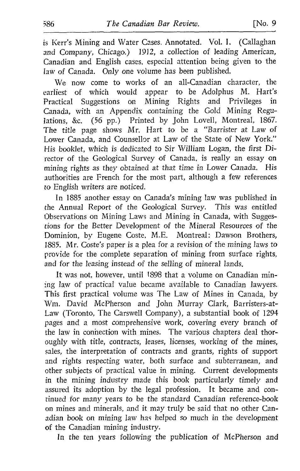is Kerr's Mining and Water Cases, Annotated. Vol. I. (Callaghan and Company, Chicago.) 1912, a collection of leading American, Canadian and English cases, especial attention being given to the law of Canada. Only one volume has been published.

We now come to works of an all-Canadian character, the earliest of which would appear to be Adolphus M. Hart's Practical Suggestions on Mining Rights and Privileges in Canada, with an Appendix containing the Gold Mining Regulations, &c. (56 pp.) Printed by John Lovell, Montreal, 1867. The title page shows Mr. Hart to be <sup>a</sup> "Barrister at Law of Lower Canada, and Counsellor at Law of the State of New York." His booklet, which is dedicated to Sir William Logan, the first Director of the Geological Survey of Canada, is really an essay on mining rights as they obtained at that time in Lower Canada. His authorities are French for the most part, although a few references to English writers are noticed.

In 1885 another essay on Canada's mining law was published in the Annual Report of the Geological Survey. This was entitled Observations on Mining Laws and Mining in Canada, with Suggestions for the Better Development of the Mineral Resources of the Dominion, by Eugene Coste, M.E. Montreal: Dawson Brothers, 1885. Mr. Coste's paper is <sup>a</sup> plea for <sup>a</sup> revision of the mining laws to provide for the complete separation of mining from surface rights, and for the leasing instead of the selling of mineral lands.

It was not, however, until 1898 that a volume on Canadian mining law of practical value became available to Canadian lawyers. This first practical volume was The Law of Mines in Canada, by Wm. David McPherson and John Murray Clark, Barristers-at-Law (Toronto, The Carswell Company), a substantial book of 1294 pages and a most comprehensive work, covering every branch of the law in conhection with mines. The various chapters deal thoroughly with title, contracts, leases, licenses, working of the mines, sales, the interpretation of contracts and grants, rights of support and rights respecting water, both surface and subterranean, and other subjects of practical value in mining. Current developments in the mining industry made this book particularly timely and assured its adoption by the legal profession. It became and continued for many years to be the standard Canadian reference-book on mines and minerals, and it may truly be said that no other Canadian book on mining law has helped so much in the development of the Canadian mining industry.

In the ten years following the publication of McPherson and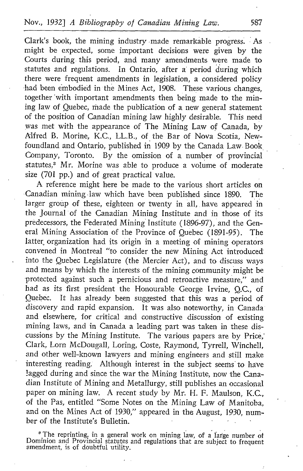Clark's book, the mining industry -made remarkable progress. As might be expected, some important decisions were given by the Courts during this period, and many amendments were made to statutes and regulations. In Ontario, after a period during which there were frequent amendments in legislation, a considered policy had been embodied in the Mines Act, 1908. These various changes, together 'with important amendments then being made to the mining law of Quebec, made the publication of a new general statement of the position of Canadian mining law highly desirable. This need was met with the appearance of The Mining Law of Canada, by Alfred B. Morine, K.C., LL.B ., of the Bar of Nova Scotia, Newfoundland and Ontario, published in 1909 by the Canada Law-Book, Company, Toronto. By the omission of a number of provincial statutes,<sup>3</sup> Mr. Morine was able to produce a volume of moderate size (701 pp.) and of great practical value.

A reference might here be made to the various short articles on Canadian mining-law which have been published since 1890. The larger group of these, eighteen or twenty in all, have appeared in the Journal of the Canadian Mining Institute and in those of its predecessors, the Federated Mining Institute (1896-97), and the General Mining Association of the Province of Quebec (1891-95) . The latter organization had its origin in a meeting of mining operators convened in Montreal "to consider the new Mining Act introduced' into the Quebec Legislature (the Mercier Act), and to discuss ways and means by which the interests of the mining community might be protected against such a pernicious and retroactive measure," and had as its first president the Honourable George Irvine, Q.C., of Quebec. It has already been suggested that this was a period of discovery and rapid expansion. It was also noteworthy, in Canada and elsewhere, for critical and constructive discussion of existing mining laws, and in Canada a leading part was taken in these discussions by the Mining Institute. The various papers are by Price,' Clark, Lorn McDougall, Loring, Coste, Raymond, Tyrrell, Winchell, and other well-known lawyers and mining engineers and still make interesting reading. Although interest in the subject seems to have lagged during and since the war the Mining Institute, now the Canadian Institute of Mining and Metallurgy, still publishes an occasional paper on mining law. A recent study by Mr. H. F. Maulson, K.C., of the Pas, entitled "Some Notes on the Mining Law of Manitoba, and on the Mines Act of 1930," appeared in the August, 1930, number of the Institute's Bulletin.

'The reprinting, in <sup>a</sup> general work on mining law, of <sup>a</sup> large number of Dominion and Provincial statutes and regulations that are subject to frequent amendment, is of doubtful utility.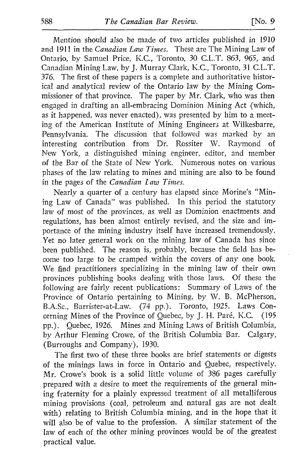Mention should also be made of two articles published in 1910 and 1911 in the Canadian Law Times. These are The Mining Law of Ontario, by Samuel Price, K.C., Toronto, <sup>30</sup> C.L.T. 863, 965, and Canadian Mining Law, by J. Murray Clark, K.C., Toronto, <sup>31</sup> C.L.T. 376. The first of these papers is a complete and authoritative historical and analytical review of the Ontario law by the Mining Commissioner of that province. The paper by Mr. Clark, who was then engaged in drafting an all-embracing Dominion Mining Act (which, as it happened, was never enacted), was presented by him to a meeting of the American Institute of Mining Engineers at Wilkesbarre,<br>Pennsylvania. The discussion that followed was marked by an The discussion that followed was marked by an interesting contribution from Dr. Rossiter W. Raymond of New York, <sup>a</sup> distinguished mining engineer, editor, and member of the Bar of the State of New York. Numerous notes on various phases of the law relating to mines and mining are also to be found in the pages of the Canadian Law Times.

Nearly a quarter of a century has elapsed since Morine's "Mining Law of Canada" was published. In this period the statutory law of most of the provinces, as well as Dominion enactments and regulations, has been almost entirely revised, and the size and importance of the mining industry itself have increased tremendously. Yet no later general work on the mining law of Canada has since been published. The reason is, probably, because the field has become too large to be cramped within the covers of any one book. We find practitioners specializing in the mining law of their own provinces publishing books dealing with those laws. Of these the following are fairly recent publications: Summary of Laws of the Province of Ontario pertaining to Mining, by W. B. McPherson, B.A.Sc., Barrister-at-Law. (74 pp.). Toronto, 1925. Laws Concerning Mines of the Province of Quebec, by J. H. Paré, K.C. (195 pp.). Quebec, 1926. Mines and Mining Laws of British Columbia, by Arthur Fleming Crowe, of the British Columbia Bar. Calgary, (Burroughs and Company), 1930.

The first two of these three books are brief statements or digests of the minings laws in force in Ontario and Quebec, respectively. Mr. Crowe's book is <sup>a</sup> solid little volume of 386 pages carefully prepared with a desire to meet the requirements of the general mining fraternity for a plainly expressed treatment of all metalliferous mining provisions (coal, petroleum and natural gas are not dealt with) relating to British Columbia mining, and in the hope that it will also be of value to the profession. A similar statement of the law of each of the other mining provinces would be of the greatest practical value.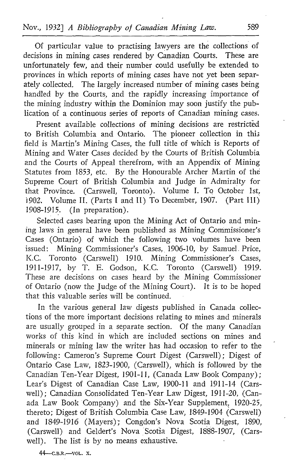Of particular value to practising lawyers are the collections of decisions in mining cases rendered by Canadian Courts. These are unfortunately few, and their number could usefully be extended to provinces in which reports of mining cases have not yet been separately collected. The largely increased number of mining cases being handled by the Courts, and the rapidly increasing importance of the mining industry within the Dominion may soon justify the publication of a continuous series of reports of Canadian mining cases.

Present available collections of mining decisions are restricted to British Columbia and Ontario. The pioneer collection in this field is Martin's Mining Cases, the full title of which is Reports of Mining and Water Cases decided by the Courts of British Columbia and the Courts of Appeal therefrom, with an Appendix of Mining Statutes from 1853, etc. By the Honourable Archer Martin of the Supreme Court of British Columbia and Judge in Admiralty for that Province. (Carswell, Toronto). Volume I. To October 1st, 1902. Volume II. (Parts I and II) To December, 1907. (Part III)  $1908-1915$ . (In preparation). (In preparation).

Selected cases bearing upon the Mining Act of Ontario and mining laws in general have been published as Mining Commissioner's Cases (Ontario) of which the following two volumes have been issued: Mining Commissioner's Cases, 1906-10, by Samuel Price, K.C. Toronto (Carswell) 1910. Mining Commissioner's Cases, 1911-1917, by T. E. Godson, K.C. Toronto (Carswell) <sup>1919</sup> . These are decisions on cases heard by the Mining Commissioner of Ontario (now the Judge of the Mining Court). It is to be hoped that this valuable series will be continued.

In the various general law digests published in Canada collections of the more important decisions relating to mines and minerals are usually grouped in a separate section. Of the many Canadian works of this kind in which are included sections on mines and minerals or mining law the writer has had occasion to refer to the following: Cameron's Supreme Court Digest (Carswell): Digest of Ontario Case Law, 1823-1900, (Carswell), which is followed by the Canadian Ten-Year Digest, 1901-11, (Canada Law Book Company) ; Lear's Digest of Canadian Case Law, 1900-11 and 1911-14 (Carswell) ; Canadian Consolidated Ten-Year Law Digest, 1911-20, (Canada Law Book Company) and the Six-Year Supplement, 1920-25, thereto; Digest of British Columbia Case Law, 1849-1904 (Carswell) and 1849-1916 (Mayers); Congdon's Nova Scotia Digest, 1890, (Carswell) and Geldert's Nova Scotia Digest, 1888-1907, (Carswell). The list is by no means exhaustive. Law Book Co.<br>Law Book Co.<br>eto: Digest of 1<br>1849-1916 (Minrswell) and G.<br>1). The list is<br>44—c.b.r.—vol. x.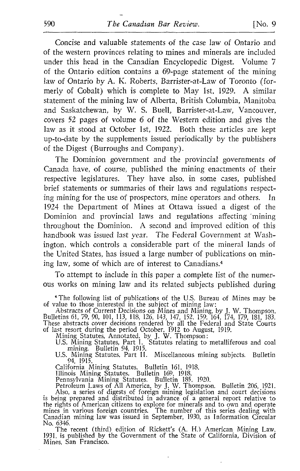Concise and valuable statements of the case law of Ontario and of the western provinces relating to mines and minerals are included under this head in the Canadian Encyclopedic Digest. Volume 7 of the Ontario edition contains a 69-page statement of the mining law of Ontario by A. K. Roberts, Barrister-at-Law of Toronto (formerly of Cobalt) which is complete to May lst, 1929. A similar statement of the mining law of Alberta, British Columbia, Manitoba and Saskatchewan, by W. S. Buell, Barrister-at-Law, Vancouver, covers 52 pages of volume 6 of the Western edition and gives the law as it stood at October 1st, 1922. Both these articles are kept up-to-date by the supplements issued periodically by the publishers of the Digest (Burroughs and Company) .

The Dominion government and the provincial governments of Canada have, of course, published the mining enactments of their respective legislatures. They have also, in some cases, published brief statements or summaries of their laws and regulations respect-<br>ing mining for the use of prospectors, mine operators and others. In ing mining for the use of prospectors, mine operators and others. 1924 the Department of Mines at Ottawa issued a digest of the Dominion and provincial laws and regulations affecting "mining throughout the Dominion. A second and improved edition of this handbook was issued last year. The Federal Government at Washington, which controls a considerable part of the mineral lands of the United States, has issued <sup>a</sup> large number of publications on mining law, some of which are of interest to Canadians .4

To attempt to include in this paper a complete list of the numerous works on mining law and its related subjects published during

'The following list of publications of the U.S Bureau of Mines may be of value to those interested in the subject of mining law :

Abstracts of Current Decisions on Mines and Mining, by J. W. Thompson.<br>Bulletins 61, 79, 90, 101, 113, 118, 126, 143, 147, 152, 159, 164, 174, 179, 181, 183.<br>These abstracts cover decisions rendered by all the Federal and

of last resort during the period October, 1912 to August, 1919.<br>
Mining Statutes, Annotated, by J. W. Thompson:<br>
U.S. Mining Statutes, Part I. Statutes relating to metalliferous and coal<br>
mining. Bulletin 94, 1915.<br>
U.S. M

California Mining Statutes. Bulletin 161, 1918.<br>
Illinois Mining Statutes. Bulletin 169, 1918.<br>
Pennsylvania Mining Statutes. Bulletin 185, 1920.<br>
Petroleum Laws of All America, by J. W. Thompson. Bulletin 206, 1921.<br>
Also

No. 6346. The recent (third) edition of Rickett's (A. H.) American Mining Law, 1931, is published by the Government of the State of California, Division of Mines, San Francisco.